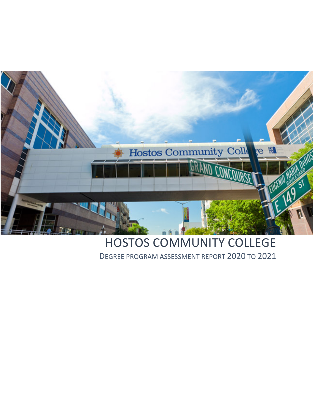

# HOSTOS COMMUNITY COLLEGE DEGREE PROGRAM ASSESSMENT REPORT 2020 TO 2021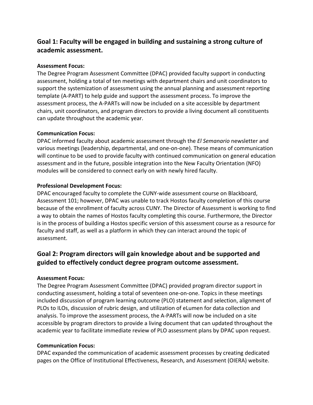# **Goal 1: Faculty will be engaged in building and sustaining a strong culture of academic assessment.**

# **Assessment Focus:**

The Degree Program Assessment Committee (DPAC) provided faculty support in conducting assessment, holding a total of ten meetings with department chairs and unit coordinators to support the systemization of assessment using the annual planning and assessment reporting template (A-PART) to help guide and support the assessment process. To improve the assessment process, the A-PARTs will now be included on a site accessible by department chairs, unit coordinators, and program directors to provide a living document all constituents can update throughout the academic year.

## **Communication Focus:**

DPAC informed faculty about academic assessment through the *El Semanario* newsletter and various meetings (leadership, departmental, and one-on-one). These means of communication will continue to be used to provide faculty with continued communication on general education assessment and in the future, possible integration into the New Faculty Orientation (NFO) modules will be considered to connect early on with newly hired faculty.

## **Professional Development Focus:**

DPAC encouraged faculty to complete the CUNY-wide assessment course on Blackboard, Assessment 101; however, DPAC was unable to track Hostos faculty completion of this course because of the enrollment of faculty across CUNY. The Director of Assessment is working to find a way to obtain the names of Hostos faculty completing this course. Furthermore, the Director is in the process of building a Hostos specific version of this assessment course as a resource for faculty and staff, as well as a platform in which they can interact around the topic of assessment.

# **Goal 2: Program directors will gain knowledge about and be supported and guided to effectively conduct degree program outcome assessment.**

# **Assessment Focus:**

The Degree Program Assessment Committee (DPAC) provided program director support in conducting assessment, holding a total of seventeen one-on-one. Topics in these meetings included discussion of program learning outcome (PLO) statement and selection, alignment of PLOs to ILOs, discussion of rubric design, and utilization of eLumen for data collection and analysis. To improve the assessment process, the A-PARTs will now be included on a site accessible by program directors to provide a living document that can updated throughout the academic year to facilitate immediate review of PLO assessment plans by DPAC upon request.

#### **Communication Focus:**

DPAC expanded the communication of academic assessment processes by creating dedicated pages on the Office of Institutional Effectiveness, Research, and Assessment (OIERA) website.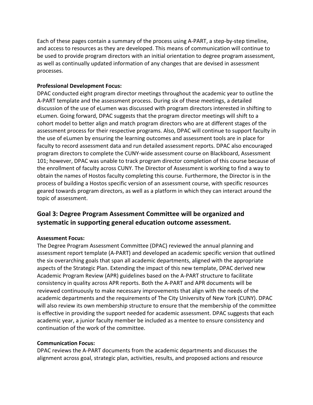Each of these pages contain a summary of the process using A-PART, a step-by-step timeline, and access to resources as they are developed. This means of communication will continue to be used to provide program directors with an initial orientation to degree program assessment, as well as continually updated information of any changes that are devised in assessment processes.

## **Professional Development Focus:**

DPAC conducted eight program director meetings throughout the academic year to outline the A-PART template and the assessment process. During six of these meetings, a detailed discussion of the use of eLumen was discussed with program directors interested in shifting to eLumen. Going forward, DPAC suggests that the program director meetings will shift to a cohort model to better align and match program directors who are at different stages of the assessment process for their respective programs. Also, DPAC will continue to support faculty in the use of eLumen by ensuring the learning outcomes and assessment tools are in place for faculty to record assessment data and run detailed assessment reports. DPAC also encouraged program directors to complete the CUNY-wide assessment course on Blackboard, Assessment 101; however, DPAC was unable to track program director completion of this course because of the enrollment of faculty across CUNY. The Director of Assessment is working to find a way to obtain the names of Hostos faculty completing this course. Furthermore, the Director is in the process of building a Hostos specific version of an assessment course, with specific resources geared towards program directors, as well as a platform in which they can interact around the topic of assessment.

# **Goal 3: Degree Program Assessment Committee will be organized and systematic in supporting general education outcome assessment.**

#### **Assessment Focus:**

The Degree Program Assessment Committee (DPAC) reviewed the annual planning and assessment report template (A-PART) and developed an academic specific version that outlined the six overarching goals that span all academic departments, aligned with the appropriate aspects of the Strategic Plan. Extending the impact of this new template, DPAC derived new Academic Program Review (APR) guidelines based on the A-PART structure to facilitate consistency in quality across APR reports. Both the A-PART and APR documents will be reviewed continuously to make necessary improvements that align with the needs of the academic departments and the requirements of The City University of New York (CUNY). DPAC will also review its own membership structure to ensure that the membership of the committee is effective in providing the support needed for academic assessment. DPAC suggests that each academic year, a junior faculty member be included as a mentee to ensure consistency and continuation of the work of the committee.

#### **Communication Focus:**

DPAC reviews the A-PART documents from the academic departments and discusses the alignment across goal, strategic plan, activities, results, and proposed actions and resource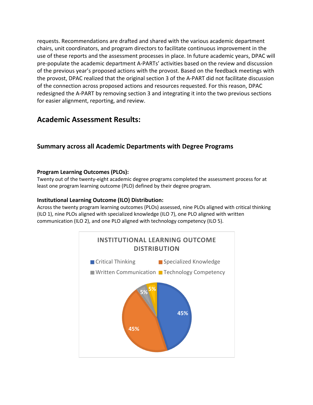requests. Recommendations are drafted and shared with the various academic department chairs, unit coordinators, and program directors to facilitate continuous improvement in the use of these reports and the assessment processes in place. In future academic years, DPAC will pre-populate the academic department A-PARTs' activities based on the review and discussion of the previous year's proposed actions with the provost. Based on the feedback meetings with the provost, DPAC realized that the original section 3 of the A-PART did not facilitate discussion of the connection across proposed actions and resources requested. For this reason, DPAC redesigned the A-PART by removing section 3 and integrating it into the two previous sections for easier alignment, reporting, and review.

# **Academic Assessment Results:**

# **Summary across all Academic Departments with Degree Programs**

## **Program Learning Outcomes (PLOs):**

Twenty out of the twenty-eight academic degree programs completed the assessment process for at least one program learning outcome (PLO) defined by their degree program.

## **Institutional Learning Outcome (ILO) Distribution:**

Across the twenty program learning outcomes (PLOs) assessed, nine PLOs aligned with critical thinking (ILO 1), nine PLOs aligned with specialized knowledge (ILO 7), one PLO aligned with written communication (ILO 2), and one PLO aligned with technology competency (ILO 5).

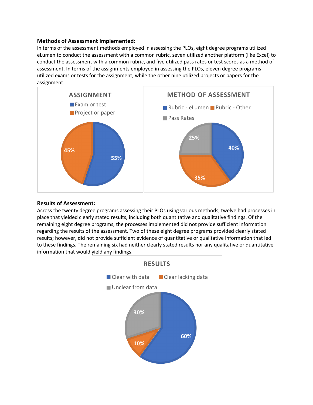#### **Methods of Assessment Implemented:**

In terms of the assessment methods employed in assessing the PLOs, eight degree programs utilized eLumen to conduct the assessment with a common rubric, seven utilized another platform (like Excel) to conduct the assessment with a common rubric, and five utilized pass rates or test scores as a method of assessment. In terms of the assignments employed in assessing the PLOs, eleven degree programs utilized exams or tests for the assignment, while the other nine utilized projects or papers for the assignment.



#### **Results of Assessment:**

Across the twenty degree programs assessing their PLOs using various methods, twelve had processes in place that yielded clearly stated results, including both quantitative and qualitative findings. Of the remaining eight degree programs, the processes implemented did not provide sufficient information regarding the results of the assessment. Two of these eight degree programs provided clearly stated results; however, did not provide sufficient evidence of quantitative or qualitative information that led to these findings. The remaining six had neither clearly stated results nor any qualitative or quantitative information that would yield any findings.